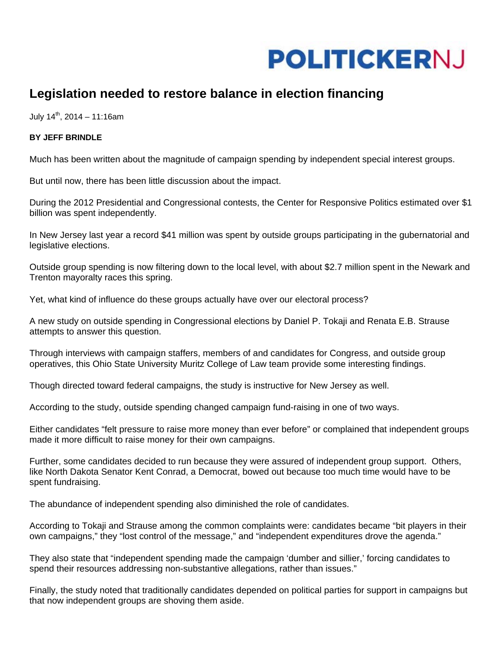

## **Legislation needed to restore balance in election financing**

July  $14^{th}$ , 2014 – 11:16am

## **BY JEFF BRINDLE**

Much has been written about the magnitude of campaign spending by independent special interest groups.

But until now, there has been little discussion about the impact.

During the 2012 Presidential and Congressional contests, the Center for Responsive Politics estimated over \$1 billion was spent independently.

In New Jersey last year a record \$41 million was spent by outside groups participating in the gubernatorial and legislative elections.

Outside group spending is now filtering down to the local level, with about \$2.7 million spent in the Newark and Trenton mayoralty races this spring.

Yet, what kind of influence do these groups actually have over our electoral process?

A new study on outside spending in Congressional elections by Daniel P. Tokaji and Renata E.B. Strause attempts to answer this question.

Through interviews with campaign staffers, members of and candidates for Congress, and outside group operatives, this Ohio State University Muritz College of Law team provide some interesting findings.

Though directed toward federal campaigns, the study is instructive for New Jersey as well.

According to the study, outside spending changed campaign fund-raising in one of two ways.

Either candidates "felt pressure to raise more money than ever before" or complained that independent groups made it more difficult to raise money for their own campaigns.

Further, some candidates decided to run because they were assured of independent group support. Others, like North Dakota Senator Kent Conrad, a Democrat, bowed out because too much time would have to be spent fundraising.

The abundance of independent spending also diminished the role of candidates.

According to Tokaji and Strause among the common complaints were: candidates became "bit players in their own campaigns," they "lost control of the message," and "independent expenditures drove the agenda."

They also state that "independent spending made the campaign 'dumber and sillier,' forcing candidates to spend their resources addressing non-substantive allegations, rather than issues."

Finally, the study noted that traditionally candidates depended on political parties for support in campaigns but that now independent groups are shoving them aside.